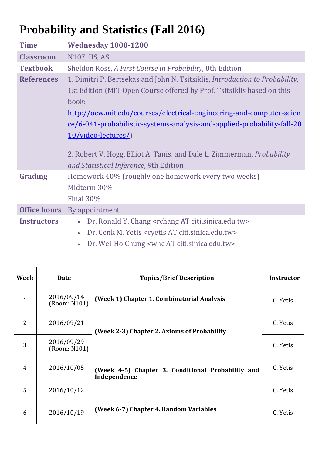## **Probability and Statistics (Fall 2016)**

| <b>Time</b>         | <b>Wednesday 1000-1200</b>                                                                                                                                                                                                                                                                                                                                                                                                                                           |  |  |
|---------------------|----------------------------------------------------------------------------------------------------------------------------------------------------------------------------------------------------------------------------------------------------------------------------------------------------------------------------------------------------------------------------------------------------------------------------------------------------------------------|--|--|
| <b>Classroom</b>    | N107, IIS, AS                                                                                                                                                                                                                                                                                                                                                                                                                                                        |  |  |
| <b>Textbook</b>     | Sheldon Ross, A First Course in Probability, 8th Edition                                                                                                                                                                                                                                                                                                                                                                                                             |  |  |
| <b>References</b>   | 1. Dimitri P. Bertsekas and John N. Tsitsiklis, Introduction to Probability,<br>1st Edition (MIT Open Course offered by Prof. Tsitsiklis based on this<br>book:<br>http://ocw.mit.edu/courses/electrical-engineering-and-computer-scien<br>ce/6-041-probabilistic-systems-analysis-and-applied-probability-fall-20<br>10/video-lectures/)<br>2. Robert V. Hogg, Elliot A. Tanis, and Dale L. Zimmerman, <i>Probability</i><br>and Statistical Inference, 9th Edition |  |  |
| Grading             | Homework 40% (roughly one homework every two weeks)<br>Midterm 30%<br><b>Final 30%</b>                                                                                                                                                                                                                                                                                                                                                                               |  |  |
| <b>Office hours</b> | By appointment                                                                                                                                                                                                                                                                                                                                                                                                                                                       |  |  |
| <b>Instructors</b>  | Dr. Ronald Y. Chang <rchang at="" citi.sinica.edu.tw=""><br/><math display="inline">\bullet</math><br/>Dr. Cenk M. Yetis <cyetis at="" citi.sinica.edu.tw=""></cyetis></rchang>                                                                                                                                                                                                                                                                                      |  |  |

• Dr. Wei-Ho Chung <whc AT citi.sinica.edu.tw>

| Week           | <b>Date</b>                | <b>Topics/Brief Description</b>                                   | <b>Instructor</b> |
|----------------|----------------------------|-------------------------------------------------------------------|-------------------|
| $\mathbf{1}$   | 2016/09/14<br>(Room: N101) | (Week 1) Chapter 1. Combinatorial Analysis                        | C. Yetis          |
| 2              | 2016/09/21                 | (Week 2-3) Chapter 2. Axioms of Probability                       | C. Yetis          |
| 3              | 2016/09/29<br>(Room: N101) |                                                                   | C. Yetis          |
| $\overline{4}$ | 2016/10/05                 | (Week 4-5) Chapter 3. Conditional Probability and<br>Independence | C. Yetis          |
| 5              | 2016/10/12                 |                                                                   | C. Yetis          |
| 6              | 2016/10/19                 | (Week 6-7) Chapter 4. Random Variables                            | C. Yetis          |